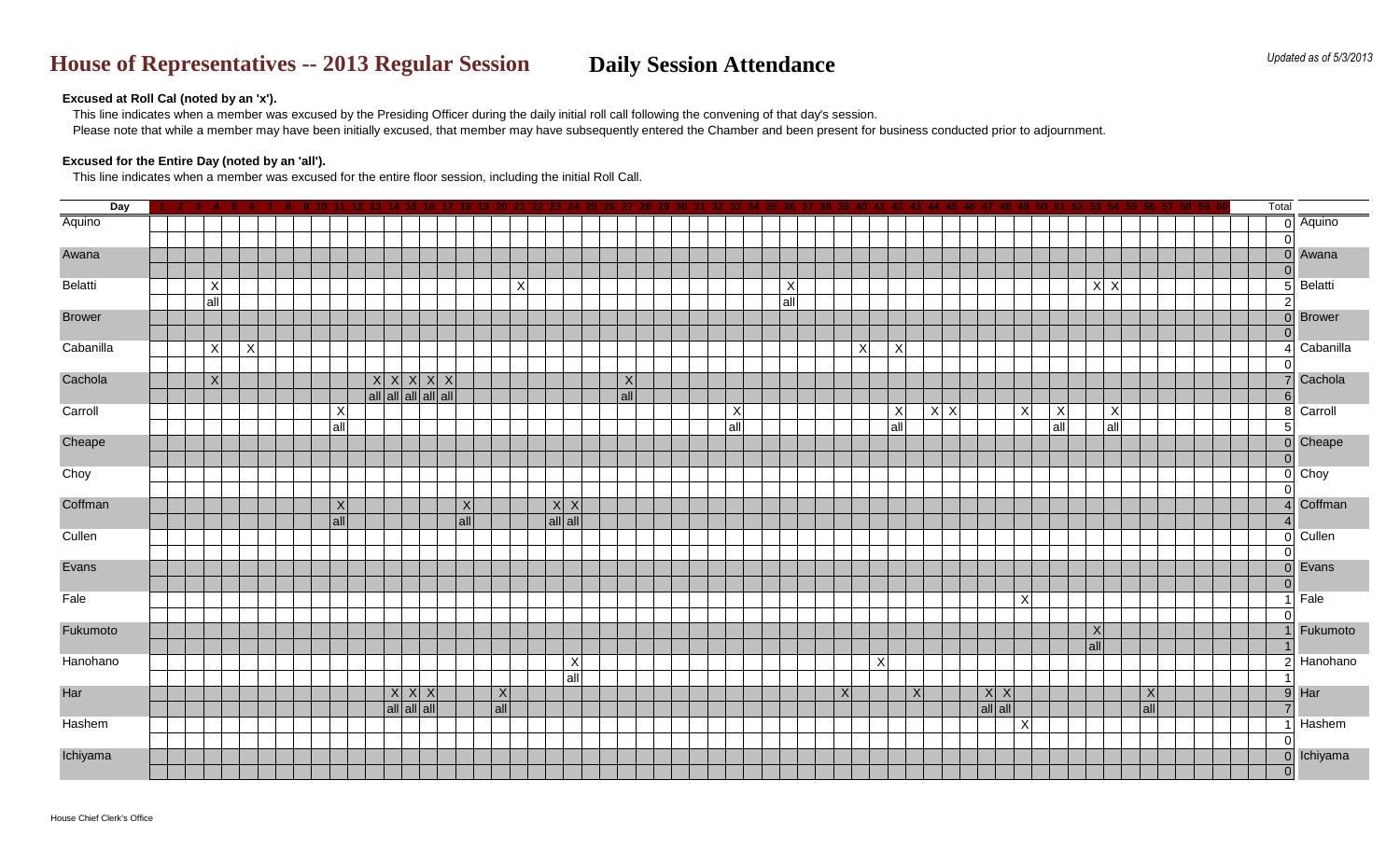This line indicates when a member was excused by the Presiding Officer during the daily initial roll call following the convening of that day's session. Please note that while a member may have been initially excused, that member may have subsequently entered the Chamber and been present for business conducted prior to adjournment.

# **House of Representatives -- 2013 Regular Session <b>Daily Session Attendance**

## **Excused at Roll Cal (noted by an 'x').**

## **Excused for the Entire Day (noted by an 'all').**

This line indicates when a member was excused for the entire floor session, including the initial Roll Call.

| Day           |         |   |  |                 |                                             |                                 |     |     |                 |         |            |  |                 |         |   |     |                 |     |         |                 |                 |                 |     | Total          |                |
|---------------|---------|---|--|-----------------|---------------------------------------------|---------------------------------|-----|-----|-----------------|---------|------------|--|-----------------|---------|---|-----|-----------------|-----|---------|-----------------|-----------------|-----------------|-----|----------------|----------------|
| Aquino        |         |   |  |                 |                                             |                                 |     |     |                 |         |            |  |                 |         |   |     |                 |     |         |                 |                 |                 |     |                | Aquino         |
|               |         |   |  |                 |                                             |                                 |     |     |                 |         |            |  |                 |         |   |     |                 |     |         |                 |                 |                 |     |                |                |
| Awana         |         |   |  |                 |                                             |                                 |     |     |                 |         |            |  |                 |         |   |     |                 |     |         |                 |                 |                 |     |                | Awana          |
|               |         |   |  |                 |                                             |                                 |     |     |                 |         |            |  |                 |         |   |     |                 |     |         |                 |                 |                 |     |                |                |
| Belatti       | X       |   |  |                 |                                             |                                 |     |     | $\vert X \vert$ |         |            |  |                 | $\sf X$ |   |     |                 |     |         |                 |                 | X X             |     |                | <b>Belatti</b> |
|               | $ $ all |   |  |                 |                                             |                                 |     |     |                 |         |            |  |                 | all     |   |     |                 |     |         |                 |                 |                 |     |                |                |
| <b>Brower</b> |         |   |  |                 |                                             |                                 |     |     |                 |         |            |  |                 |         |   |     |                 |     |         |                 |                 |                 |     |                | <b>Brower</b>  |
|               |         |   |  |                 |                                             |                                 |     |     |                 |         |            |  |                 |         |   |     |                 |     |         |                 |                 |                 |     |                |                |
| Cabanilla     | X       | X |  |                 |                                             |                                 |     |     |                 |         |            |  |                 |         | X | X   |                 |     |         |                 |                 |                 |     |                | Cabanilla      |
| Cachola       | X       |   |  |                 |                                             | $x \mid x \mid x \mid x \mid x$ |     |     |                 |         |            |  |                 |         |   |     |                 |     |         |                 |                 |                 |     |                | Cachola        |
|               |         |   |  |                 | $ $ all $ $ all $ $ all $ $ all $ $ all $ $ |                                 |     |     |                 |         | X <br> all |  |                 |         |   |     |                 |     |         |                 |                 |                 |     | 6              |                |
| Carroll       |         |   |  | X               |                                             |                                 |     |     |                 |         |            |  | $\vert X \vert$ |         |   | X   |                 | X X |         | $\vert X \vert$ | $\vert X \vert$ | X               |     | 8 <sup>1</sup> | Carroll        |
|               |         |   |  | $ $ all $ $     |                                             |                                 |     |     |                 |         |            |  | all             |         |   | all |                 |     |         |                 | all             | $ $ all         |     | 5              |                |
| Cheape        |         |   |  |                 |                                             |                                 |     |     |                 |         |            |  |                 |         |   |     |                 |     |         |                 |                 |                 |     |                | Cheape         |
|               |         |   |  |                 |                                             |                                 |     |     |                 |         |            |  |                 |         |   |     |                 |     |         |                 |                 |                 |     |                |                |
| Choy          |         |   |  |                 |                                             |                                 |     |     |                 |         |            |  |                 |         |   |     |                 |     |         |                 |                 |                 |     |                | $0$ Choy       |
|               |         |   |  |                 |                                             |                                 |     |     |                 |         |            |  |                 |         |   |     |                 |     |         |                 |                 |                 |     |                |                |
| Coffman       |         |   |  | $\vert X \vert$ |                                             |                                 | X   |     |                 | X X     |            |  |                 |         |   |     |                 |     |         |                 |                 |                 |     |                | Coffman        |
|               |         |   |  | $\vert$ all     |                                             |                                 | all |     |                 | all all |            |  |                 |         |   |     |                 |     |         |                 |                 |                 |     |                |                |
| Cullen        |         |   |  |                 |                                             |                                 |     |     |                 |         |            |  |                 |         |   |     |                 |     |         |                 |                 |                 |     |                | $0$ Cullen     |
|               |         |   |  |                 |                                             |                                 |     |     |                 |         |            |  |                 |         |   |     |                 |     |         |                 |                 |                 |     |                |                |
| Evans         |         |   |  |                 |                                             |                                 |     |     |                 |         |            |  |                 |         |   |     |                 |     |         |                 |                 |                 |     |                | Evans          |
| Fale          |         |   |  |                 |                                             |                                 |     |     |                 |         |            |  |                 |         |   |     |                 |     |         |                 |                 |                 |     | 0              | Fale           |
|               |         |   |  |                 |                                             |                                 |     |     |                 |         |            |  |                 |         |   |     |                 |     |         | $\vert X \vert$ |                 |                 |     | $\Omega$       |                |
| Fukumoto      |         |   |  |                 |                                             |                                 |     |     |                 |         |            |  |                 |         |   |     |                 |     |         |                 |                 | $\vert X \vert$ |     |                | Fukumoto       |
|               |         |   |  |                 |                                             |                                 |     |     |                 |         |            |  |                 |         |   |     |                 |     |         |                 |                 | all             |     |                |                |
| Hanohano      |         |   |  |                 |                                             |                                 |     |     |                 | X       |            |  |                 |         |   | X   |                 |     |         |                 |                 |                 |     |                | Hanohano       |
|               |         |   |  |                 |                                             |                                 |     |     |                 | $ $ all |            |  |                 |         |   |     |                 |     |         |                 |                 |                 |     |                |                |
| Har           |         |   |  |                 |                                             | X X X                           |     | X   |                 |         |            |  |                 |         | X |     | $\vert X \vert$ |     | X X     |                 |                 |                 | X   | 9              | Har            |
|               |         |   |  |                 |                                             | $ $ all $ $ all $ $ all $ $     |     | all |                 |         |            |  |                 |         |   |     |                 |     | all all |                 |                 |                 | all | $\overline{7}$ |                |
| Hashem        |         |   |  |                 |                                             |                                 |     |     |                 |         |            |  |                 |         |   |     |                 |     |         | X               |                 |                 |     |                | Hashem         |
|               |         |   |  |                 |                                             |                                 |     |     |                 |         |            |  |                 |         |   |     |                 |     |         |                 |                 |                 |     | 0              |                |
| Ichiyama      |         |   |  |                 |                                             |                                 |     |     |                 |         |            |  |                 |         |   |     |                 |     |         |                 |                 |                 |     |                | Ichiyama       |
|               |         |   |  |                 |                                             |                                 |     |     |                 |         |            |  |                 |         |   |     |                 |     |         |                 |                 |                 |     | $\Omega$       |                |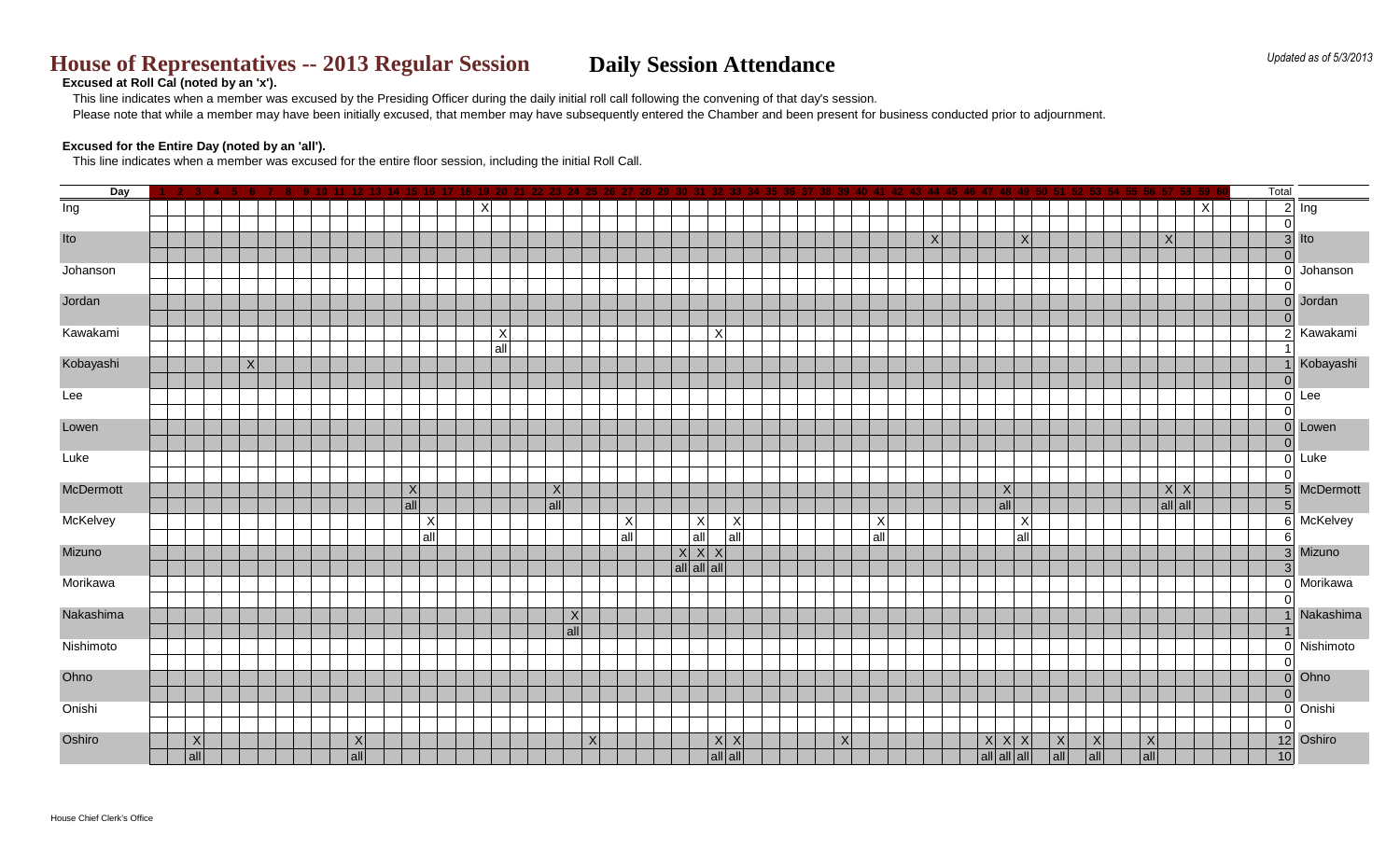This line indicates when a member was excused by the Presiding Officer during the daily initial roll call following the convening of that day's session. Please note that while a member may have been initially excused, that member may have subsequently entered the Chamber and been present for business conducted prior to adjournment.

# **House of Representatives -- 2013 Regular Session <br>Daily Session Attendance**

## **Excused at Roll Cal (noted by an 'x').**

### **Excused for the Entire Day (noted by an 'all').**

This line indicates when a member was excused for the entire floor session, including the initial Roll Call.

| Day       | -6.             |     |     |                             |                     |                 |                 |                                     |     |             | Total          |                     |
|-----------|-----------------|-----|-----|-----------------------------|---------------------|-----------------|-----------------|-------------------------------------|-----|-------------|----------------|---------------------|
| Ing       |                 |     | X   |                             |                     |                 |                 |                                     |     | X           |                | $2$ lng             |
|           |                 |     |     |                             |                     |                 |                 |                                     |     |             | 0              |                     |
| Ito       |                 |     |     |                             |                     |                 | $\vert X \vert$ | $\vert X \vert$                     |     | X           |                | $3$ Ito             |
|           |                 |     |     |                             |                     |                 |                 |                                     |     |             | 0              |                     |
| Johanson  |                 |     |     |                             |                     |                 |                 |                                     |     |             |                | $0$ Johanson        |
| Jordan    |                 |     |     |                             |                     |                 |                 |                                     |     |             |                | 0 Jordan            |
|           |                 |     |     |                             |                     |                 |                 |                                     |     |             | 0              |                     |
| Kawakami  |                 |     | X   |                             | X                   |                 |                 |                                     |     |             |                | 2 Kawakami          |
|           |                 |     | all |                             |                     |                 |                 |                                     |     |             |                |                     |
| Kobayashi | $\vert X \vert$ |     |     |                             |                     |                 |                 |                                     |     |             |                | Kobayashi           |
|           |                 |     |     |                             |                     |                 |                 |                                     |     |             | 0              |                     |
| Lee       |                 |     |     |                             |                     |                 |                 |                                     |     |             |                | $0$ Lee             |
|           |                 |     |     |                             |                     |                 |                 |                                     |     |             | 0              |                     |
| Lowen     |                 |     |     |                             |                     |                 |                 |                                     |     |             |                | 0 Lowen             |
| Luke      |                 |     |     |                             |                     |                 |                 |                                     |     |             | 0              | 0 Luke              |
|           |                 |     |     |                             |                     |                 |                 |                                     |     |             | 0              |                     |
| McDermott |                 | X   | X   |                             |                     |                 |                 | $\vert X \vert$                     |     | X X         |                | 5 McDermott         |
|           |                 | all | all |                             |                     |                 |                 | $ $ all                             |     | all all     | 5 <sub>l</sub> |                     |
| McKelvey  |                 | X   |     | X <br>$\boldsymbol{X}$      | $\boldsymbol{X}$    | $\vert X \vert$ |                 | X                                   |     |             |                | 6 McKelvey          |
|           |                 | all |     | all <br>$ $ all             | all                 | all             |                 | all                                 |     |             | 6              |                     |
| Mizuno    |                 |     |     | X X X                       |                     |                 |                 |                                     |     |             |                | 3 Mizuno            |
|           |                 |     |     | $ $ all $ $ all $ $ all $ $ |                     |                 |                 |                                     |     |             | 3              |                     |
| Morikawa  |                 |     |     |                             |                     |                 |                 |                                     |     |             |                | 0 Morikawa          |
| Nakashima |                 |     | X   |                             |                     |                 |                 |                                     |     |             | 0              | Nakashima           |
|           |                 |     | all |                             |                     |                 |                 |                                     |     |             |                |                     |
| Nishimoto |                 |     |     |                             |                     |                 |                 |                                     |     |             |                | 0 Nishimoto         |
|           |                 |     |     |                             |                     |                 |                 |                                     |     |             | 0              |                     |
| Ohno      |                 |     |     |                             |                     |                 |                 |                                     |     |             |                | $\overline{0}$ Ohno |
|           |                 |     |     |                             |                     |                 |                 |                                     |     |             | 0              |                     |
| Onishi    |                 |     |     |                             |                     |                 |                 |                                     |     |             | 0              | Onishi              |
|           |                 |     |     |                             |                     |                 |                 |                                     |     |             | 0              |                     |
| Oshiro    | X               | X   | X   |                             | X X                 | $\vert X \vert$ |                 | X X X<br> X                         | X   | X           |                | 12 Oshiro           |
|           | all             | all |     |                             | $ $ all $ $ all $ $ |                 |                 | $ $ all $ $ all $ $ all $ $<br> all | all | $ $ all $ $ | 10             |                     |